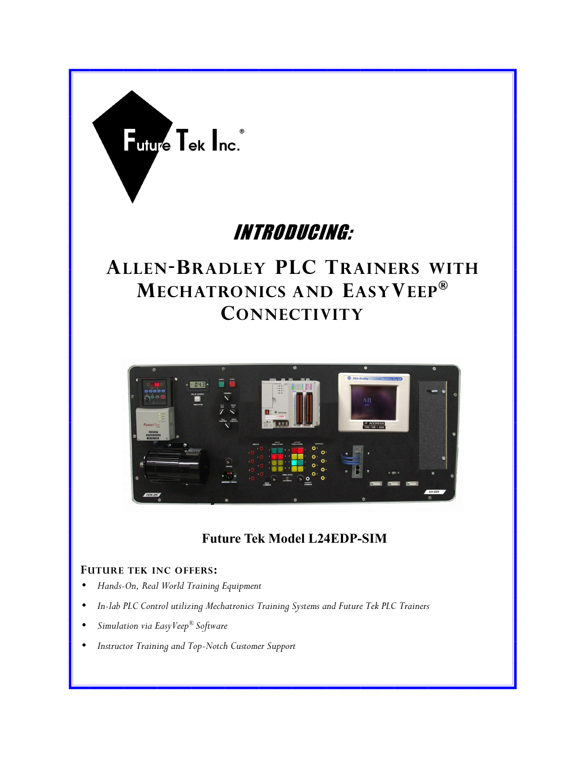

## INTRODUCING:

## **ALLEN-BRADLEY PLC TRAINERS WITH MECHATRONICS AND EASYVEEP® CONNECTIVITY**



### **Future Tek Model L24EDP-SIM**

#### **FUTURE TEK INC OFFERS:**

- *Hands-On, Real World Training Equipment*
- *In-lab PLC Control utilizing Mechatronics Training Systems and Future Tek PLC Trainers*
- *Simulation via EasyVeep® Software*
- *Instructor Training and Top-Notch Customer Support*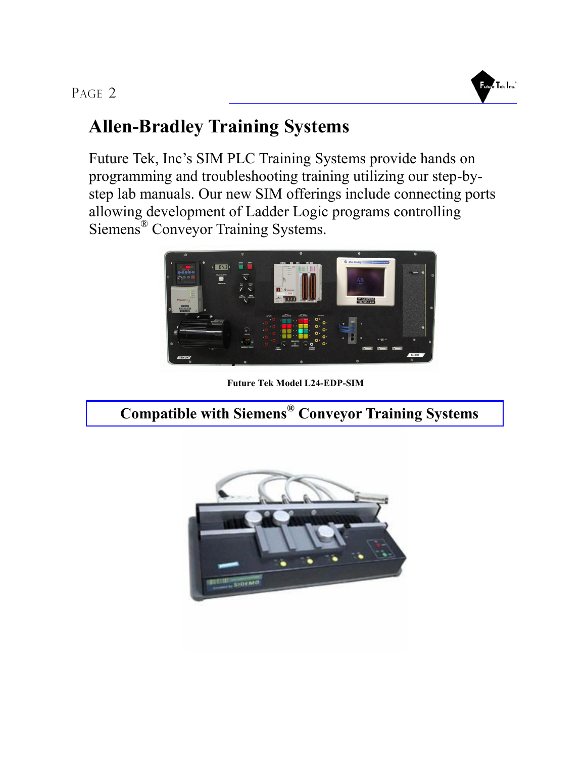### PAGE 2



## **Allen-Bradley Training Systems**

Future Tek, Inc's SIM PLC Training Systems provide hands on programming and troubleshooting training utilizing our step-bystep lab manuals. Our new SIM offerings include connecting ports allowing development of Ladder Logic programs controlling Siemens® Conveyor Training Systems.



**Future Tek Model L24-EDP-SIM**

 **Compatible with Siemens® Conveyor Training Systems**

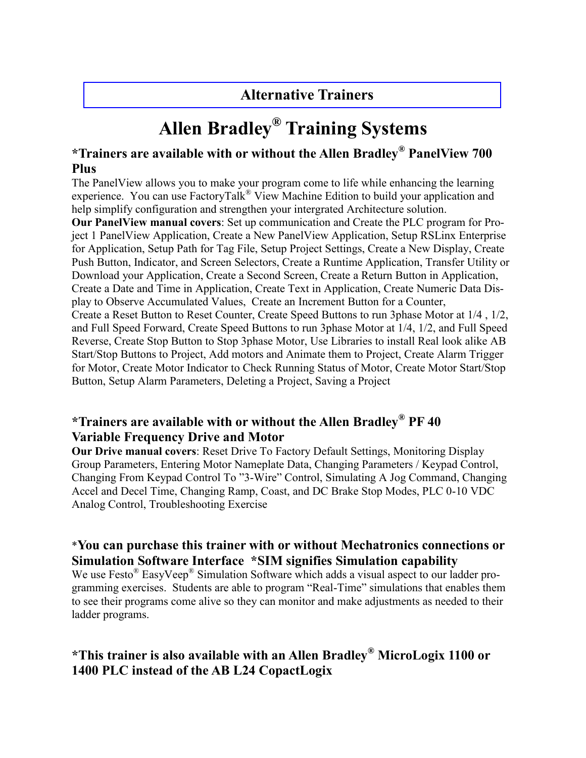### **Alternative Trainers**

# **Allen Bradley® Training Systems**

#### **\*Trainers are available with or without the Allen Bradley® PanelView 700 Plus**

The PanelView allows you to make your program come to life while enhancing the learning experience. You can use FactoryTalk<sup>®</sup> View Machine Edition to build your application and help simplify configuration and strengthen your intergrated Architecture solution.

**Our PanelView manual covers**: Set up communication and Create the PLC program for Project 1 PanelView Application, Create a New PanelView Application, Setup RSLinx Enterprise for Application, Setup Path for Tag File, Setup Project Settings, Create a New Display, Create Push Button, Indicator, and Screen Selectors, Create a Runtime Application, Transfer Utility or Download your Application, Create a Second Screen, Create a Return Button in Application, Create a Date and Time in Application, Create Text in Application, Create Numeric Data Display to Observe Accumulated Values, Create an Increment Button for a Counter, Create a Reset Button to Reset Counter, Create Speed Buttons to run 3phase Motor at 1/4 , 1/2, and Full Speed Forward, Create Speed Buttons to run 3phase Motor at 1/4, 1/2, and Full Speed Reverse, Create Stop Button to Stop 3phase Motor, Use Libraries to install Real look alike AB Start/Stop Buttons to Project, Add motors and Animate them to Project, Create Alarm Trigger for Motor, Create Motor Indicator to Check Running Status of Motor, Create Motor Start/Stop

Button, Setup Alarm Parameters, Deleting a Project, Saving a Project

### **\*Trainers are available with or without the Allen Bradley® PF 40 Variable Frequency Drive and Motor**

**Our Drive manual covers**: Reset Drive To Factory Default Settings, Monitoring Display Group Parameters, Entering Motor Nameplate Data, Changing Parameters / Keypad Control, Changing From Keypad Control To "3-Wire" Control, Simulating A Jog Command, Changing Accel and Decel Time, Changing Ramp, Coast, and DC Brake Stop Modes, PLC 0-10 VDC Analog Control, Troubleshooting Exercise

### \***You can purchase this trainer with or without Mechatronics connections or Simulation Software Interface \*SIM signifies Simulation capability**

We use Festo<sup>®</sup> EasyVeep<sup>®</sup> Simulation Software which adds a visual aspect to our ladder programming exercises. Students are able to program "Real-Time" simulations that enables them to see their programs come alive so they can monitor and make adjustments as needed to their ladder programs.

### **\*This trainer is also available with an Allen Bradley® MicroLogix 1100 or 1400 PLC instead of the AB L24 CopactLogix**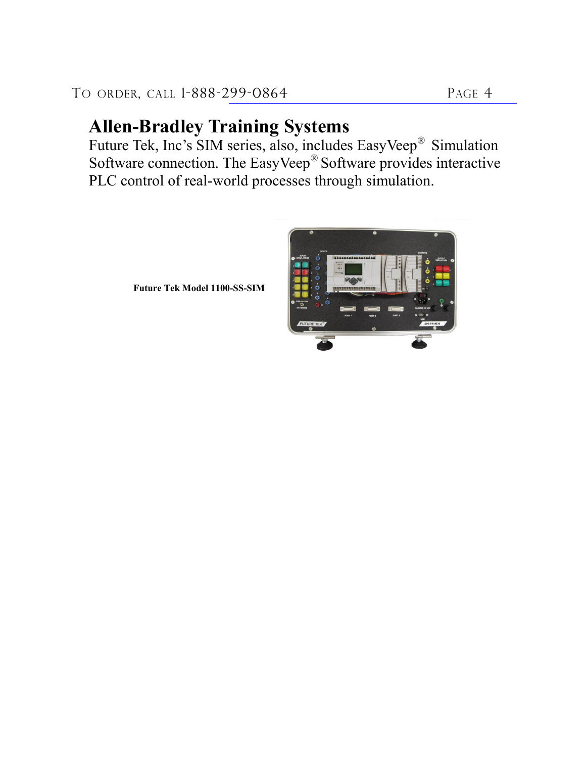## **Allen-Bradley Training Systems**

Future Tek, Inc's SIM series, also, includes EasyVeep® Simulation Software connection. The EasyVeep® Software provides interactive PLC control of real-world processes through simulation.



**Future Tek Model 1100-SS-SIM**